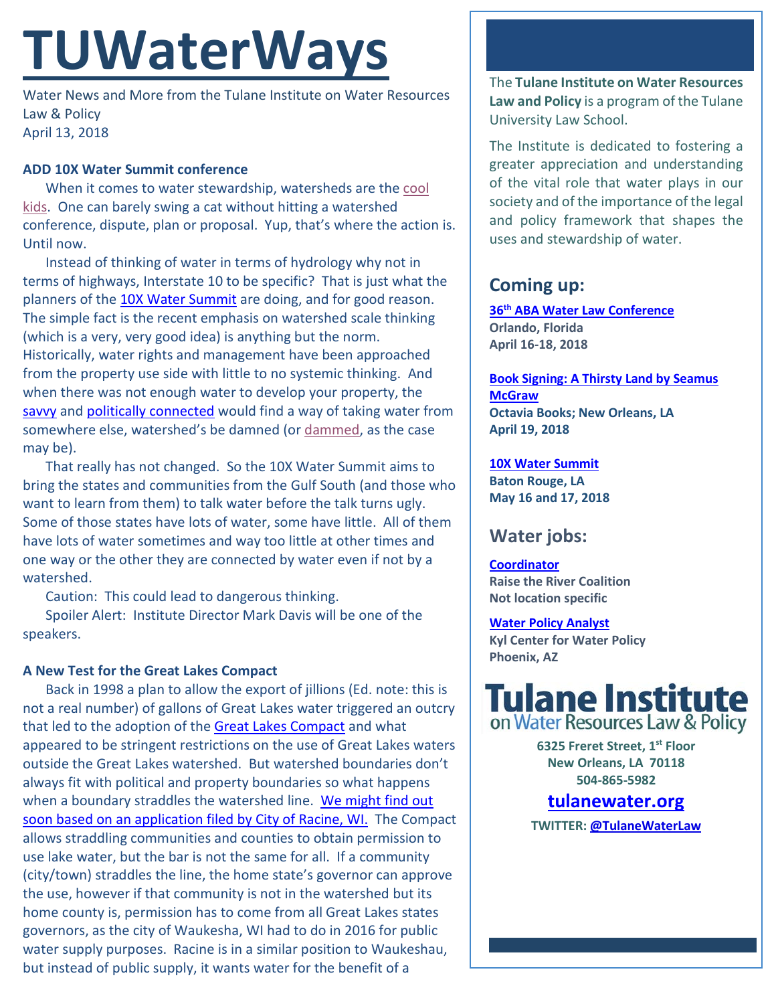# **TUWaterWays**

Water News and More from the Tulane Institute on Water Resources Law & Policy April 13, 2018

### **ADD 10X Water Summit conference**

When it comes to water stewardship, watersheds are the [cool](http://gph.is/1PLFn5U)  [kids.](http://gph.is/1PLFn5U) One can barely swing a cat without hitting a watershed conference, dispute, plan or proposal. Yup, that's where the action is. Until now.

Instead of thinking of water in terms of hydrology why not in terms of highways, Interstate 10 to be specific? That is just what the planners of th[e 10X Water Summit](https://www.10xwatersummit.com/about/) are doing, and for good reason. The simple fact is the recent emphasis on watershed scale thinking (which is a very, very good idea) is anything but the norm. Historically, water rights and management have been approached from the property use side with little to no systemic thinking. And when there was not enough water to develop your property, the [savvy](https://frinkiac.com/meme/S06E05/435868/m/IFdFIE5FRUQgQSBDQU5ESURBVEUgV0lUSAogTkFNRSBSRUNPR05JVElPTiBBTkQKIE1FRElBIFNBVlZZIEEgVFJVRSBMRUFERVIKIFdITyBXSUxMIERPIEVYQUNUTFkgQVMKIEhFJ1MgVE9MRC4=) and [politically connected](https://frinkiac.com/meme/S08E12/1166214/m/IFBPTElUSUNBTCBQT1dFUlMhIChnYXNwcyk=) would find a way of taking water from somewhere else, watershed's be damned (or [dammed,](https://youtu.be/OBpwIDgJGCs) as the case may be).

That really has not changed. So the 10X Water Summit aims to bring the states and communities from the Gulf South (and those who want to learn from them) to talk water before the talk turns ugly. Some of those states have lots of water, some have little. All of them have lots of water sometimes and way too little at other times and one way or the other they are connected by water even if not by a watershed.

Caution: This could lead to dangerous thinking.

Spoiler Alert: Institute Director Mark Davis will be one of the speakers.

### **A New Test for the Great Lakes Compact**

 Back in 1998 a plan to allow the export of jillions (Ed. note: this is not a real number) of gallons of Great Lakes water triggered an outcry that led to the adoption of the [Great Lakes Compact](https://www.gpo.gov/fdsys/pkg/PLAW-110publ342/html/PLAW-110publ342.htm) and what appeared to be stringent restrictions on the use of Great Lakes waters outside the Great Lakes watershed. But watershed boundaries don't always fit with political and property boundaries so what happens when a boundary straddles the watershed line. We might find out [soon based on an application filed by City of Racine,](https://www.jsonline.com/story/opinion/contributors/2018/04/13/foxconn-rekindles-great-lakes-water-wars/511566002/) WI. The Compact allows straddling communities and counties to obtain permission to use lake water, but the bar is not the same for all. If a community (city/town) straddles the line, the home state's governor can approve the use, however if that community is not in the watershed but its home county is, permission has to come from all Great Lakes states governors, as the city of Waukesha, WI had to do in 2016 for public water supply purposes. Racine is in a similar position to Waukeshau, but instead of public supply, it wants water for the benefit of a

The **Tulane Institute on Water Resources Law and Policy** is a program of the Tulane University Law School.

The Institute is dedicated to fostering a greater appreciation and understanding of the vital role that water plays in our society and of the importance of the legal and policy framework that shapes the uses and stewardship of water.

# **Coming up:**

**36th [ABA Water Law Conference](https://shop.americanbar.org/ebus/ABAEventsCalendar/EventDetails.aspx?productId=280694689) Orlando, Florida April 16-18, 2018** 

**[Book Signing: A Thirsty Land by Seamus](http://www.octaviabooks.com/event/seamus-mcgraw-thirsty-land)  [McGraw](http://www.octaviabooks.com/event/seamus-mcgraw-thirsty-land) Octavia Books; New Orleans, LA April 19, 2018**

**[10X Water Summit](https://www.10xwatersummit.com/about/) Baton Rouge, LA May 16 and 17, 2018**

## **Water jobs:**

**[Coordinator](https://raisetheriver.org/raise-river-job-opportunity-coordinator/) Raise the River Coalition Not location specific**

**[Water Policy Analyst](https://sjobs.brassring.com/TGnewUI/Search/home/HomeWithPreLoad?partnerid=25620&siteid=5494&PageType=JobDetails&jobid=3367158#jobDetails=3367158_5494) Kyl Center for Water Policy Phoenix, AZ**



**6325 Freret Street, 1st Floor New Orleans, LA 70118 504-865-5982** 

## **tulanewater.org**

**TWITTER[: @TulaneWaterLaw](http://www.twitter.com/TulaneWaterLaw)**